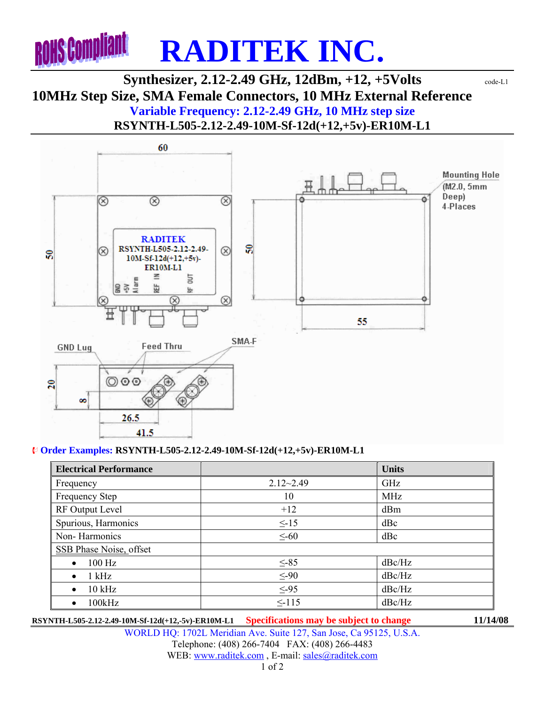

## **Synthesizer, 2.12-2.49 GHz, 12dBm, +12, +5Volts** code-L1 **10MHz Step Size, SMA Female Connectors, 10 MHz External Reference Variable Frequency: 2.12-2.49 GHz, 10 MHz step size RSYNTH-L505-2.12-2.49-10M-Sf-12d(+12,+5v)-ER10M-L1**



## ¨ **Order Examples: RSYNTH-L505-2.12-2.49-10M-Sf-12d(+12,+5v)-ER10M-L1**

| <b>Electrical Performance</b> |               | <b>Units</b> |
|-------------------------------|---------------|--------------|
| Frequency                     | $2.12 - 2.49$ | GHz          |
| <b>Frequency Step</b>         | 10            | <b>MHz</b>   |
| RF Output Level               | $+12$         | dBm          |
| Spurious, Harmonics           | $\leq$ -15    | dBc          |
| Non-Harmonics                 | $\leq$ -60    | dBc          |
| SSB Phase Noise, offset       |               |              |
| $100$ Hz                      | $\leq$ -85    | dBc/Hz       |
| $1$ kHz<br>$\bullet$          | $\leq -90$    | dBc/Hz       |
| $10$ kHz<br>$\bullet$         | $\leq -95$    | dBc/Hz       |
| 100kHz                        | $\leq$ -115   | dBc/Hz       |

**RSYNTH-L505-2.12-2.49-10M-Sf-12d(+12,-5v)-ER10M-L1 Specifications may be subject to change 11/14/08**

WORLD HQ: 1702L Meridian Ave. Suite 127, San Jose, Ca 95125, U.S.A. Telephone: (408) 266-7404 FAX: (408) 266-4483 WEB: www.raditek.com, E-mail: sales@raditek.com